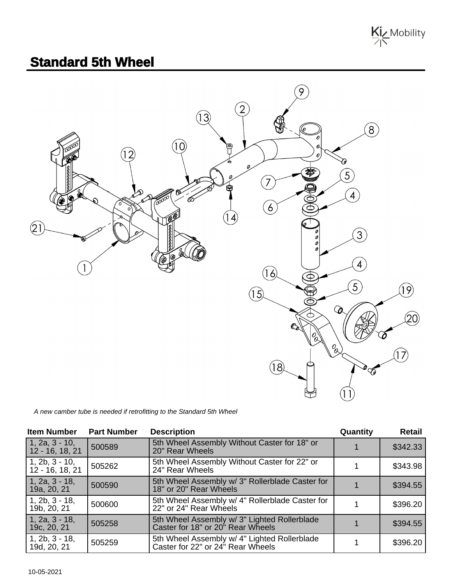

## **Standard 5th Wheel**



A new camber tube is needed if retrofitting to the Standard 5th Wheel

| <b>Item Number</b>                  | <b>Part Number</b> | <b>Description</b>                                                                | Quantity | <b>Retail</b> |
|-------------------------------------|--------------------|-----------------------------------------------------------------------------------|----------|---------------|
| $1, 2a, 3 - 10,$<br>12 - 16, 18, 21 | 500589             | 5th Wheel Assembly Without Caster for 18" or<br>20" Rear Wheels                   |          | \$342.33      |
| $1, 2b, 3 - 10,$<br>12 - 16, 18, 21 | 505262             | 5th Wheel Assembly Without Caster for 22" or<br>24" Rear Wheels                   |          | \$343.98      |
| $1, 2a, 3 - 18,$<br>19a, 20, 21     | 500590             | 5th Wheel Assembly w/ 3" Rollerblade Caster for<br>18" or 20" Rear Wheels         |          | \$394.55      |
| $1, 2b, 3 - 18,$<br>19b, 20, 21     | 500600             | 5th Wheel Assembly w/ 4" Rollerblade Caster for<br>22" or 24" Rear Wheels         |          | \$396.20      |
| $1, 2a, 3 - 18,$<br>19c, 20, 21     | 505258             | 5th Wheel Assembly w/ 3" Lighted Rollerblade<br>Caster for 18" or 20" Rear Wheels |          | \$394.55      |
| $1, 2b, 3 - 18,$<br>19d, 20, 21     | 505259             | 5th Wheel Assembly w/ 4" Lighted Rollerblade<br>Caster for 22" or 24" Rear Wheels |          | \$396.20      |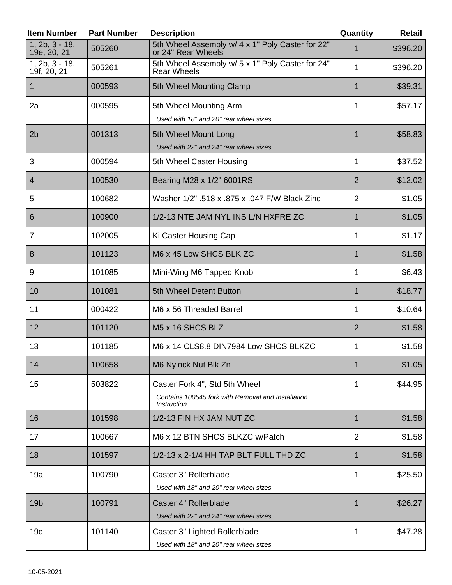| <b>Item Number</b>              | <b>Part Number</b> | <b>Description</b>                                                                                               | Quantity       | <b>Retail</b> |
|---------------------------------|--------------------|------------------------------------------------------------------------------------------------------------------|----------------|---------------|
| $1, 2b, 3 - 18,$<br>19e, 20, 21 | 505260             | 5th Wheel Assembly w/ 4 x 1" Poly Caster for 22"<br>or 24" Rear Wheels                                           |                | \$396.20      |
| $1, 2b, 3 - 18,$<br>19f, 20, 21 | 505261             | 5th Wheel Assembly w/ 5 x 1" Poly Caster for 24"<br><b>Rear Wheels</b>                                           | 1              | \$396.20      |
| 1                               | 000593             | 5th Wheel Mounting Clamp                                                                                         | 1              | \$39.31       |
| 2a                              | 000595             | 5th Wheel Mounting Arm<br>Used with 18" and 20" rear wheel sizes                                                 | 1              | \$57.17       |
| 2 <sub>b</sub>                  | 001313             | 5th Wheel Mount Long<br>Used with 22" and 24" rear wheel sizes                                                   | 1              | \$58.83       |
| 3                               | 000594             | 5th Wheel Caster Housing                                                                                         | 1              | \$37.52       |
| $\overline{4}$                  | 100530             | Bearing M28 x 1/2" 6001RS                                                                                        | $\overline{2}$ | \$12.02       |
| 5                               | 100682             | Washer 1/2" .518 x .875 x .047 F/W Black Zinc                                                                    | $\overline{2}$ | \$1.05        |
| 6                               | 100900             | 1/2-13 NTE JAM NYL INS L/N HXFRE ZC                                                                              | 1              | \$1.05        |
| 7                               | 102005             | Ki Caster Housing Cap                                                                                            | 1              | \$1.17        |
| 8                               | 101123             | M6 x 45 Low SHCS BLK ZC                                                                                          | $\mathbf 1$    | \$1.58        |
| 9                               | 101085             | Mini-Wing M6 Tapped Knob                                                                                         | 1              | \$6.43        |
| 10                              | 101081             | 5th Wheel Detent Button                                                                                          | 1              | \$18.77       |
| 11                              | 000422             | M6 x 56 Threaded Barrel                                                                                          | 1              | \$10.64       |
| 12                              | 101120             | M5 x 16 SHCS BLZ                                                                                                 | $\overline{2}$ | \$1.58        |
| 13                              | 101185             | M6 x 14 CLS8.8 DIN7984 Low SHCS BLKZC                                                                            | 1              | \$1.58        |
| 14                              | 100658             | M6 Nylock Nut Blk Zn                                                                                             |                | \$1.05        |
| 15                              | 503822             | Caster Fork 4", Std 5th Wheel<br>Contains 100545 fork with Removal and Installation<br><i><b>Instruction</b></i> | 1              | \$44.95       |
| 16                              | 101598             | 1/2-13 FIN HX JAM NUT ZC                                                                                         | 1              | \$1.58        |
| 17                              | 100667             | M6 x 12 BTN SHCS BLKZC w/Patch                                                                                   | $\overline{2}$ | \$1.58        |
| 18                              | 101597             | 1/2-13 x 2-1/4 HH TAP BLT FULL THD ZC                                                                            | 1              | \$1.58        |
| 19a                             | 100790             | Caster 3" Rollerblade<br>Used with 18" and 20" rear wheel sizes                                                  | 1              | \$25.50       |
| 19 <sub>b</sub>                 | 100791             | Caster 4" Rollerblade<br>Used with 22" and 24" rear wheel sizes                                                  | 1              | \$26.27       |
| 19 <sub>c</sub>                 | 101140             | Caster 3" Lighted Rollerblade<br>Used with 18" and 20" rear wheel sizes                                          | 1              | \$47.28       |